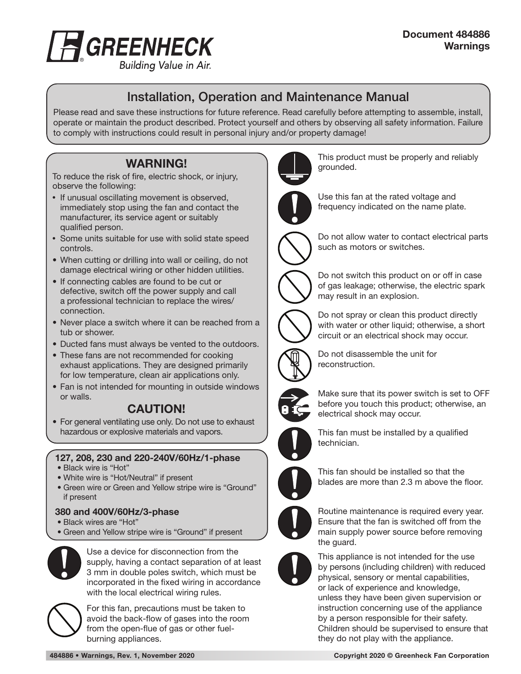

## Installation, Operation and Maintenance Manual

Please read and save these instructions for future reference. Read carefully before attempting to assemble, install, operate or maintain the product described. Protect yourself and others by observing all safety information. Failure to comply with instructions could result in personal injury and/or property damage!

### WARNING!

To reduce the risk of fire, electric shock, or injury, observe the following:

- **•** If unusual oscillating movement is observed, immediately stop using the fan and contact the manufacturer, its service agent or suitably qualified person.
- **•** Some units suitable for use with solid state speed controls.
- When cutting or drilling into wall or ceiling, do not damage electrical wiring or other hidden utilities.
- If connecting cables are found to be cut or defective, switch off the power supply and call a professional technician to replace the wires/ connection.
- Never place a switch where it can be reached from a tub or shower.
- Ducted fans must always be vented to the outdoors.
- These fans are not recommended for cooking exhaust applications. They are designed primarily for low temperature, clean air applications only.
- Fan is not intended for mounting in outside windows or walls.

## CAUTION!

• For general ventilating use only. Do not use to exhaust hazardous or explosive materials and vapors.

#### 127, 208, 230 and 220-240V/60Hz/1-phase

- Black wire is "Hot"
- White wire is "Hot/Neutral" if present
- Green wire or Green and Yellow stripe wire is "Ground" if present

#### 380 and 400V/60Hz/3-phase

- Black wires are "Hot"
- Green and Yellow stripe wire is "Ground" if present



Use a device for disconnection from the supply, having a contact separation of at least 3 mm in double poles switch, which must be incorporated in the fixed wiring in accordance with the local electrical wiring rules.



For this fan, precautions must be taken to avoid the back-flow of gases into the room from the open-flue of gas or other fuelburning appliances.



This product must be properly and reliably grounded.



Use this fan at the rated voltage and frequency indicated on the name plate.



Do not allow water to contact electrical parts such as motors or switches.



Do not switch this product on or off in case of gas leakage; otherwise, the electric spark may result in an explosion.



Do not spray or clean this product directly with water or other liquid; otherwise, a short circuit or an electrical shock may occur.



Do not disassemble the unit for reconstruction.



Make sure that its power switch is set to OFF before you touch this product; otherwise, an electrical shock may occur.



This fan must be installed by a qualified technician.



This fan should be installed so that the blades are more than 2.3 m above the floor.



Routine maintenance is required every year. Ensure that the fan is switched off from the main supply power source before removing the guard.



This appliance is not intended for the use by persons (including children) with reduced physical, sensory or mental capabilities, or lack of experience and knowledge, unless they have been given supervision or instruction concerning use of the appliance by a person responsible for their safety. Children should be supervised to ensure that they do not play with the appliance.